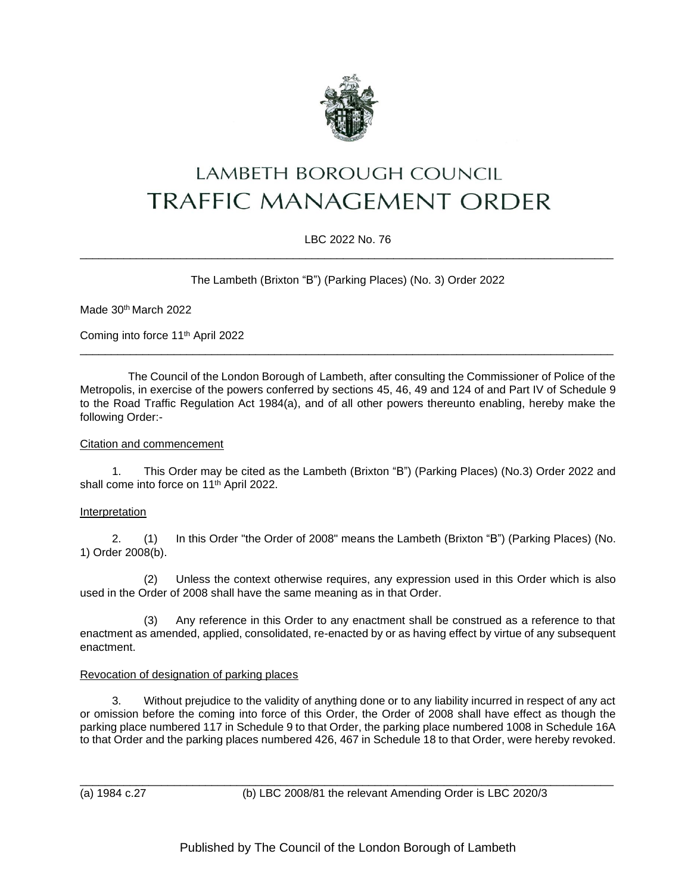

# LAMBETH BOROUGH COUNCIL **TRAFFIC MANAGEMENT ORDER**

# LBC 2022 No. 76 \_\_\_\_\_\_\_\_\_\_\_\_\_\_\_\_\_\_\_\_\_\_\_\_\_\_\_\_\_\_\_\_\_\_\_\_\_\_\_\_\_\_\_\_\_\_\_\_\_\_\_\_\_\_\_\_\_\_\_\_\_\_\_\_\_\_\_\_\_\_\_\_\_\_\_\_\_\_\_\_\_\_\_\_\_

The Lambeth (Brixton "B") (Parking Places) (No. 3) Order 2022

Made 30<sup>th</sup> March 2022

Coming into force 11th April 2022

The Council of the London Borough of Lambeth, after consulting the Commissioner of Police of the Metropolis, in exercise of the powers conferred by sections 45, 46, 49 and 124 of and Part IV of Schedule 9 to the Road Traffic Regulation Act 1984(a), and of all other powers thereunto enabling, hereby make the following Order:-

\_\_\_\_\_\_\_\_\_\_\_\_\_\_\_\_\_\_\_\_\_\_\_\_\_\_\_\_\_\_\_\_\_\_\_\_\_\_\_\_\_\_\_\_\_\_\_\_\_\_\_\_\_\_\_\_\_\_\_\_\_\_\_\_\_\_\_\_\_\_\_\_\_\_\_\_\_\_\_\_\_\_\_\_\_

### Citation and commencement

1. This Order may be cited as the Lambeth (Brixton "B") (Parking Places) (No.3) Order 2022 and shall come into force on 11<sup>th</sup> April 2022.

### Interpretation

2. (1) In this Order "the Order of 2008" means the Lambeth (Brixton "B") (Parking Places) (No. 1) Order 2008(b).

(2) Unless the context otherwise requires, any expression used in this Order which is also used in the Order of 2008 shall have the same meaning as in that Order.

(3) Any reference in this Order to any enactment shall be construed as a reference to that enactment as amended, applied, consolidated, re-enacted by or as having effect by virtue of any subsequent enactment.

### Revocation of designation of parking places

3. Without prejudice to the validity of anything done or to any liability incurred in respect of any act or omission before the coming into force of this Order, the Order of 2008 shall have effect as though the parking place numbered 117 in Schedule 9 to that Order, the parking place numbered 1008 in Schedule 16A to that Order and the parking places numbered 426, 467 in Schedule 18 to that Order, were hereby revoked.

\_\_\_\_\_\_\_\_\_\_\_\_\_\_\_\_\_\_\_\_\_\_\_\_\_\_\_\_\_\_\_\_\_\_\_\_\_\_\_\_\_\_\_\_\_\_\_\_\_\_\_\_\_\_\_\_\_\_\_\_\_\_\_\_\_\_\_\_\_\_\_\_\_\_\_\_\_\_\_\_\_\_\_\_\_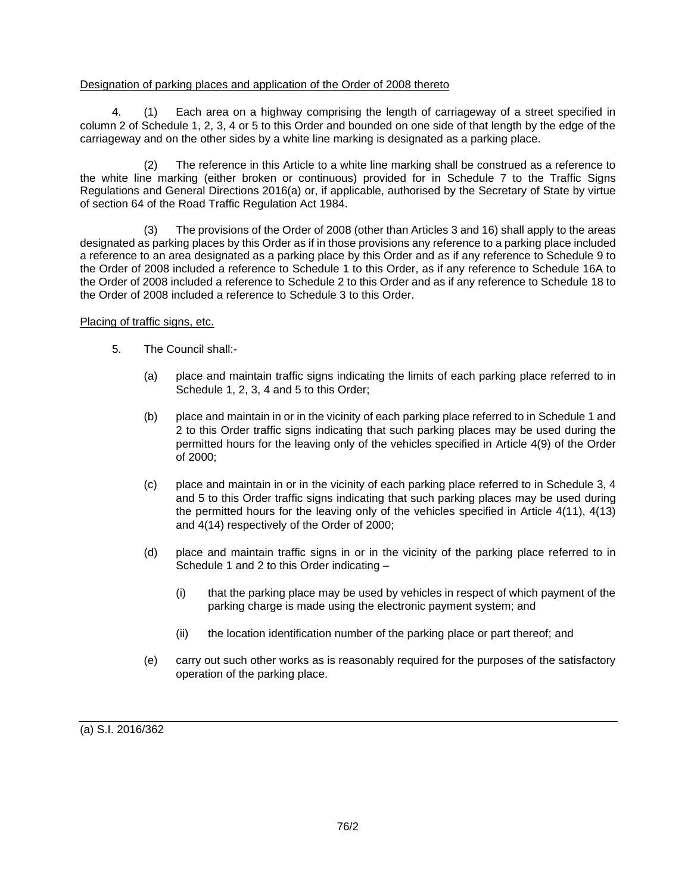### Designation of parking places and application of the Order of 2008 thereto

4. (1) Each area on a highway comprising the length of carriageway of a street specified in column 2 of Schedule 1, 2, 3, 4 or 5 to this Order and bounded on one side of that length by the edge of the carriageway and on the other sides by a white line marking is designated as a parking place.

(2) The reference in this Article to a white line marking shall be construed as a reference to the white line marking (either broken or continuous) provided for in Schedule 7 to the Traffic Signs Regulations and General Directions 2016(a) or, if applicable, authorised by the Secretary of State by virtue of section 64 of the Road Traffic Regulation Act 1984.

(3) The provisions of the Order of 2008 (other than Articles 3 and 16) shall apply to the areas designated as parking places by this Order as if in those provisions any reference to a parking place included a reference to an area designated as a parking place by this Order and as if any reference to Schedule 9 to the Order of 2008 included a reference to Schedule 1 to this Order, as if any reference to Schedule 16A to the Order of 2008 included a reference to Schedule 2 to this Order and as if any reference to Schedule 18 to the Order of 2008 included a reference to Schedule 3 to this Order.

# Placing of traffic signs, etc.

- 5. The Council shall:-
	- (a) place and maintain traffic signs indicating the limits of each parking place referred to in Schedule 1, 2, 3, 4 and 5 to this Order;
	- (b) place and maintain in or in the vicinity of each parking place referred to in Schedule 1 and 2 to this Order traffic signs indicating that such parking places may be used during the permitted hours for the leaving only of the vehicles specified in Article 4(9) of the Order of 2000;
	- (c) place and maintain in or in the vicinity of each parking place referred to in Schedule 3, 4 and 5 to this Order traffic signs indicating that such parking places may be used during the permitted hours for the leaving only of the vehicles specified in Article 4(11), 4(13) and 4(14) respectively of the Order of 2000;
	- (d) place and maintain traffic signs in or in the vicinity of the parking place referred to in Schedule 1 and 2 to this Order indicating –
		- (i) that the parking place may be used by vehicles in respect of which payment of the parking charge is made using the electronic payment system; and
		- (ii) the location identification number of the parking place or part thereof; and
	- (e) carry out such other works as is reasonably required for the purposes of the satisfactory operation of the parking place.

(a) S.I. 2016/362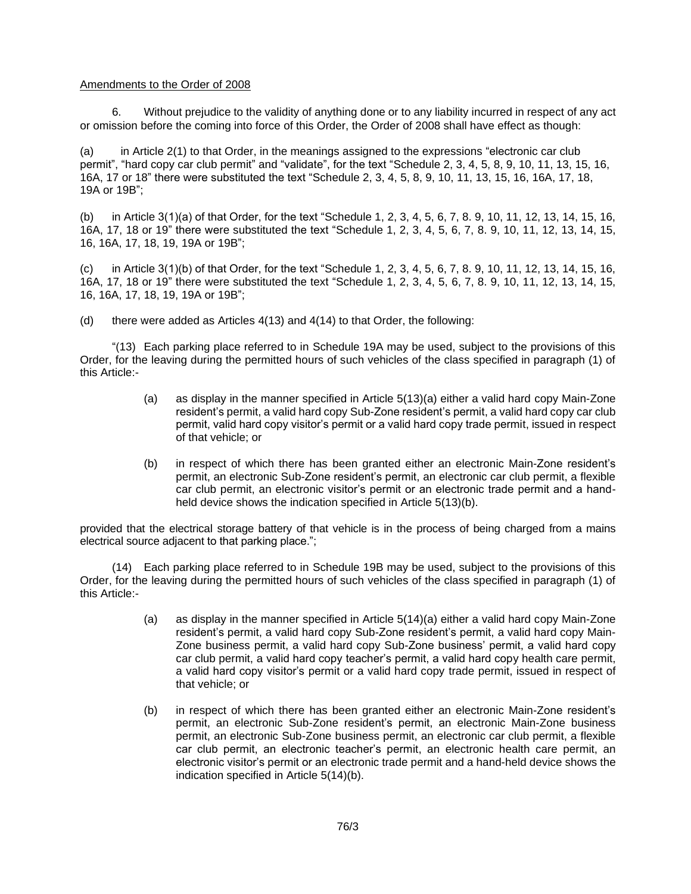### Amendments to the Order of 2008

6. Without prejudice to the validity of anything done or to any liability incurred in respect of any act or omission before the coming into force of this Order, the Order of 2008 shall have effect as though:

(a) in Article 2(1) to that Order, in the meanings assigned to the expressions "electronic car club permit", "hard copy car club permit" and "validate", for the text "Schedule 2, 3, 4, 5, 8, 9, 10, 11, 13, 15, 16, 16A, 17 or 18" there were substituted the text "Schedule 2, 3, 4, 5, 8, 9, 10, 11, 13, 15, 16, 16A, 17, 18, 19A or 19B";

(b) in Article 3(1)(a) of that Order, for the text "Schedule 1, 2, 3, 4, 5, 6, 7, 8. 9, 10, 11, 12, 13, 14, 15, 16, 16A, 17, 18 or 19" there were substituted the text "Schedule 1, 2, 3, 4, 5, 6, 7, 8. 9, 10, 11, 12, 13, 14, 15, 16, 16A, 17, 18, 19, 19A or 19B";

(c) in Article 3(1)(b) of that Order, for the text "Schedule 1, 2, 3, 4, 5, 6, 7, 8. 9, 10, 11, 12, 13, 14, 15, 16, 16A, 17, 18 or 19" there were substituted the text "Schedule 1, 2, 3, 4, 5, 6, 7, 8. 9, 10, 11, 12, 13, 14, 15, 16, 16A, 17, 18, 19, 19A or 19B";

(d) there were added as Articles 4(13) and 4(14) to that Order, the following:

"(13) Each parking place referred to in Schedule 19A may be used, subject to the provisions of this Order, for the leaving during the permitted hours of such vehicles of the class specified in paragraph (1) of this Article:-

- (a) as display in the manner specified in Article 5(13)(a) either a valid hard copy Main-Zone resident's permit, a valid hard copy Sub-Zone resident's permit, a valid hard copy car club permit, valid hard copy visitor's permit or a valid hard copy trade permit, issued in respect of that vehicle; or
- (b) in respect of which there has been granted either an electronic Main-Zone resident's permit, an electronic Sub-Zone resident's permit, an electronic car club permit, a flexible car club permit, an electronic visitor's permit or an electronic trade permit and a handheld device shows the indication specified in Article 5(13)(b).

provided that the electrical storage battery of that vehicle is in the process of being charged from a mains electrical source adjacent to that parking place.";

(14) Each parking place referred to in Schedule 19B may be used, subject to the provisions of this Order, for the leaving during the permitted hours of such vehicles of the class specified in paragraph (1) of this Article:-

- (a) as display in the manner specified in Article 5(14)(a) either a valid hard copy Main-Zone resident's permit, a valid hard copy Sub-Zone resident's permit, a valid hard copy Main-Zone business permit, a valid hard copy Sub-Zone business' permit, a valid hard copy car club permit, a valid hard copy teacher's permit, a valid hard copy health care permit, a valid hard copy visitor's permit or a valid hard copy trade permit, issued in respect of that vehicle; or
- (b) in respect of which there has been granted either an electronic Main-Zone resident's permit, an electronic Sub-Zone resident's permit, an electronic Main-Zone business permit, an electronic Sub-Zone business permit, an electronic car club permit, a flexible car club permit, an electronic teacher's permit, an electronic health care permit, an electronic visitor's permit or an electronic trade permit and a hand-held device shows the indication specified in Article 5(14)(b).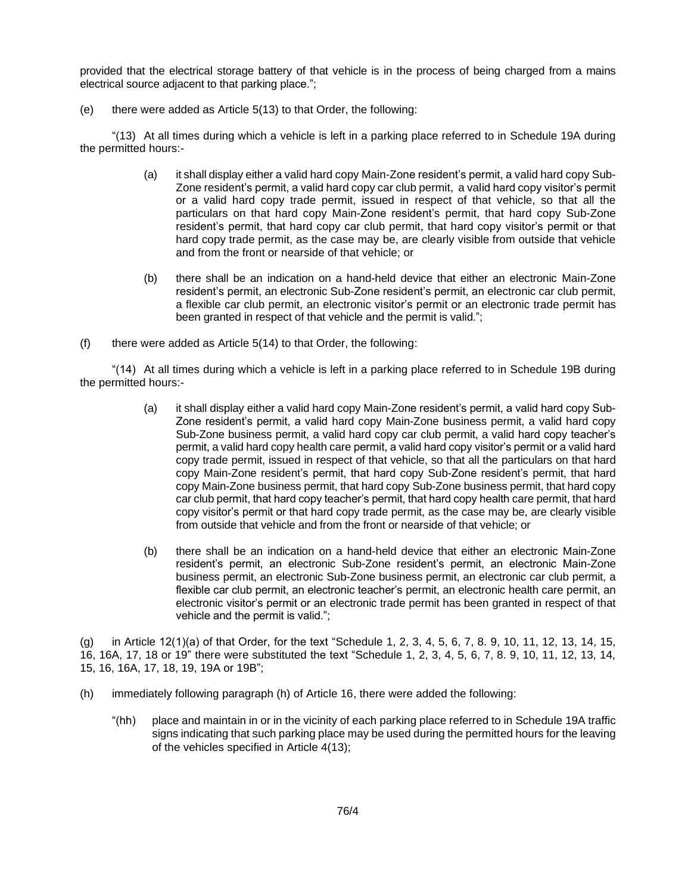provided that the electrical storage battery of that vehicle is in the process of being charged from a mains electrical source adjacent to that parking place.";

(e) there were added as Article 5(13) to that Order, the following:

"(13) At all times during which a vehicle is left in a parking place referred to in Schedule 19A during the permitted hours:-

- (a) it shall display either a valid hard copy Main-Zone resident's permit, a valid hard copy Sub-Zone resident's permit, a valid hard copy car club permit, a valid hard copy visitor's permit or a valid hard copy trade permit, issued in respect of that vehicle, so that all the particulars on that hard copy Main-Zone resident's permit, that hard copy Sub-Zone resident's permit, that hard copy car club permit, that hard copy visitor's permit or that hard copy trade permit, as the case may be, are clearly visible from outside that vehicle and from the front or nearside of that vehicle; or
- (b) there shall be an indication on a hand-held device that either an electronic Main-Zone resident's permit, an electronic Sub-Zone resident's permit, an electronic car club permit, a flexible car club permit, an electronic visitor's permit or an electronic trade permit has been granted in respect of that vehicle and the permit is valid.";
- (f) there were added as Article  $5(14)$  to that Order, the following:

"(14) At all times during which a vehicle is left in a parking place referred to in Schedule 19B during the permitted hours:-

- (a) it shall display either a valid hard copy Main-Zone resident's permit, a valid hard copy Sub-Zone resident's permit, a valid hard copy Main-Zone business permit, a valid hard copy Sub-Zone business permit, a valid hard copy car club permit, a valid hard copy teacher's permit, a valid hard copy health care permit, a valid hard copy visitor's permit or a valid hard copy trade permit, issued in respect of that vehicle, so that all the particulars on that hard copy Main-Zone resident's permit, that hard copy Sub-Zone resident's permit, that hard copy Main-Zone business permit, that hard copy Sub-Zone business permit, that hard copy car club permit, that hard copy teacher's permit, that hard copy health care permit, that hard copy visitor's permit or that hard copy trade permit, as the case may be, are clearly visible from outside that vehicle and from the front or nearside of that vehicle; or
- (b) there shall be an indication on a hand-held device that either an electronic Main-Zone resident's permit, an electronic Sub-Zone resident's permit, an electronic Main-Zone business permit, an electronic Sub-Zone business permit, an electronic car club permit, a flexible car club permit, an electronic teacher's permit, an electronic health care permit, an electronic visitor's permit or an electronic trade permit has been granted in respect of that vehicle and the permit is valid.";

(g) in Article  $12(1)(a)$  of that Order, for the text "Schedule 1, 2, 3, 4, 5, 6, 7, 8, 9, 10, 11, 12, 13, 14, 15, 16, 16A, 17, 18 or 19" there were substituted the text "Schedule 1, 2, 3, 4, 5, 6, 7, 8. 9, 10, 11, 12, 13, 14, 15, 16, 16A, 17, 18, 19, 19A or 19B";

- (h) immediately following paragraph (h) of Article 16, there were added the following:
	- "(hh) place and maintain in or in the vicinity of each parking place referred to in Schedule 19A traffic signs indicating that such parking place may be used during the permitted hours for the leaving of the vehicles specified in Article 4(13);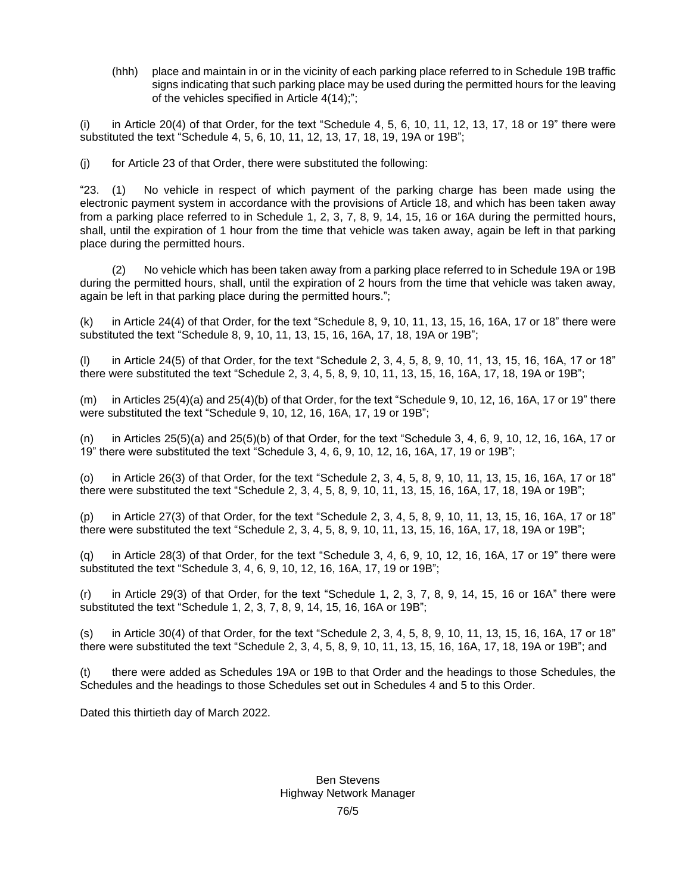(hhh) place and maintain in or in the vicinity of each parking place referred to in Schedule 19B traffic signs indicating that such parking place may be used during the permitted hours for the leaving of the vehicles specified in Article 4(14);";

 $(i)$  in Article 20(4) of that Order, for the text "Schedule 4, 5, 6, 10, 11, 12, 13, 17, 18 or 19" there were substituted the text "Schedule 4, 5, 6, 10, 11, 12, 13, 17, 18, 19, 19A or 19B";

(j) for Article 23 of that Order, there were substituted the following:

"23. (1) No vehicle in respect of which payment of the parking charge has been made using the electronic payment system in accordance with the provisions of Article 18, and which has been taken away from a parking place referred to in Schedule 1, 2, 3, 7, 8, 9, 14, 15, 16 or 16A during the permitted hours, shall, until the expiration of 1 hour from the time that vehicle was taken away, again be left in that parking place during the permitted hours.

(2) No vehicle which has been taken away from a parking place referred to in Schedule 19A or 19B during the permitted hours, shall, until the expiration of 2 hours from the time that vehicle was taken away, again be left in that parking place during the permitted hours.";

(k) in Article 24(4) of that Order, for the text "Schedule 8, 9, 10, 11, 13, 15, 16, 16A, 17 or 18" there were substituted the text "Schedule 8, 9, 10, 11, 13, 15, 16, 16A, 17, 18, 19A or 19B";

(l) in Article 24(5) of that Order, for the text "Schedule 2, 3, 4, 5, 8, 9, 10, 11, 13, 15, 16, 16A, 17 or 18" there were substituted the text "Schedule 2, 3, 4, 5, 8, 9, 10, 11, 13, 15, 16, 16A, 17, 18, 19A or 19B";

(m) in Articles 25(4)(a) and 25(4)(b) of that Order, for the text "Schedule 9, 10, 12, 16, 16A, 17 or 19" there were substituted the text "Schedule 9, 10, 12, 16, 16A, 17, 19 or 19B";

(n) in Articles 25(5)(a) and 25(5)(b) of that Order, for the text "Schedule 3, 4, 6, 9, 10, 12, 16, 16A, 17 or 19" there were substituted the text "Schedule 3, 4, 6, 9, 10, 12, 16, 16A, 17, 19 or 19B";

(o) in Article 26(3) of that Order, for the text "Schedule 2, 3, 4, 5, 8, 9, 10, 11, 13, 15, 16, 16A, 17 or 18" there were substituted the text "Schedule 2, 3, 4, 5, 8, 9, 10, 11, 13, 15, 16, 16A, 17, 18, 19A or 19B";

(p) in Article 27(3) of that Order, for the text "Schedule 2, 3, 4, 5, 8, 9, 10, 11, 13, 15, 16, 16A, 17 or 18" there were substituted the text "Schedule 2, 3, 4, 5, 8, 9, 10, 11, 13, 15, 16, 16A, 17, 18, 19A or 19B";

(q) in Article 28(3) of that Order, for the text "Schedule 3, 4, 6, 9, 10, 12, 16, 16A, 17 or 19" there were substituted the text "Schedule 3, 4, 6, 9, 10, 12, 16, 16A, 17, 19 or 19B";

(r) in Article 29(3) of that Order, for the text "Schedule 1, 2, 3, 7, 8, 9, 14, 15, 16 or 16A" there were substituted the text "Schedule 1, 2, 3, 7, 8, 9, 14, 15, 16, 16A or 19B";

(s) in Article 30(4) of that Order, for the text "Schedule 2, 3, 4, 5, 8, 9, 10, 11, 13, 15, 16, 16A, 17 or 18" there were substituted the text "Schedule 2, 3, 4, 5, 8, 9, 10, 11, 13, 15, 16, 16A, 17, 18, 19A or 19B"; and

(t) there were added as Schedules 19A or 19B to that Order and the headings to those Schedules, the Schedules and the headings to those Schedules set out in Schedules 4 and 5 to this Order.

Dated this thirtieth day of March 2022.

# Ben Stevens Highway Network Manager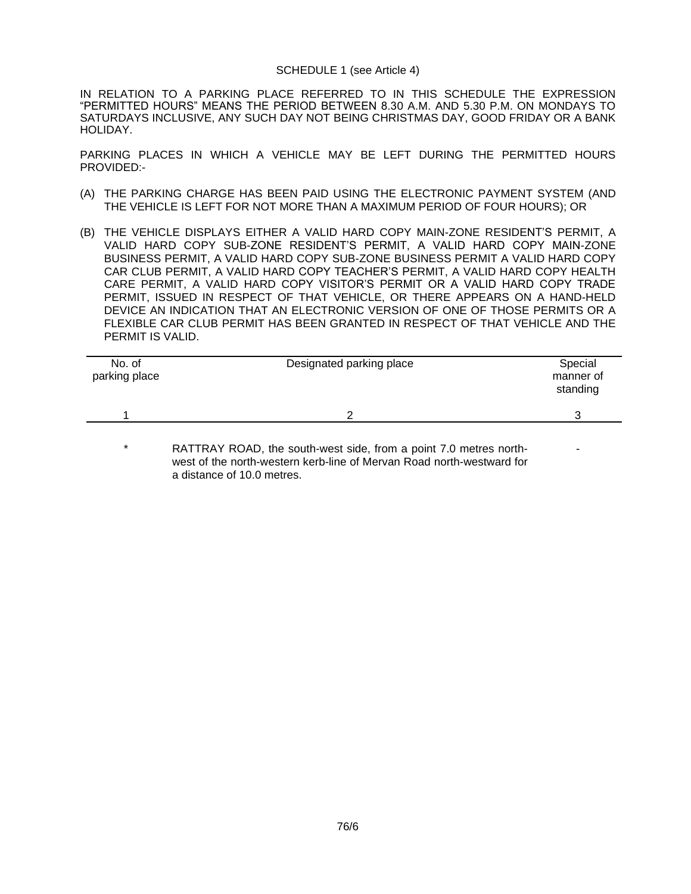#### SCHEDULE 1 (see Article 4)

IN RELATION TO A PARKING PLACE REFERRED TO IN THIS SCHEDULE THE EXPRESSION "PERMITTED HOURS" MEANS THE PERIOD BETWEEN 8.30 A.M. AND 5.30 P.M. ON MONDAYS TO SATURDAYS INCLUSIVE, ANY SUCH DAY NOT BEING CHRISTMAS DAY, GOOD FRIDAY OR A BANK HOLIDAY.

PARKING PLACES IN WHICH A VEHICLE MAY BE LEFT DURING THE PERMITTED HOURS PROVIDED:-

- (A) THE PARKING CHARGE HAS BEEN PAID USING THE ELECTRONIC PAYMENT SYSTEM (AND THE VEHICLE IS LEFT FOR NOT MORE THAN A MAXIMUM PERIOD OF FOUR HOURS); OR
- (B) THE VEHICLE DISPLAYS EITHER A VALID HARD COPY MAIN-ZONE RESIDENT'S PERMIT, A VALID HARD COPY SUB-ZONE RESIDENT'S PERMIT, A VALID HARD COPY MAIN-ZONE BUSINESS PERMIT, A VALID HARD COPY SUB-ZONE BUSINESS PERMIT A VALID HARD COPY CAR CLUB PERMIT, A VALID HARD COPY TEACHER'S PERMIT, A VALID HARD COPY HEALTH CARE PERMIT, A VALID HARD COPY VISITOR'S PERMIT OR A VALID HARD COPY TRADE PERMIT, ISSUED IN RESPECT OF THAT VEHICLE, OR THERE APPEARS ON A HAND-HELD DEVICE AN INDICATION THAT AN ELECTRONIC VERSION OF ONE OF THOSE PERMITS OR A FLEXIBLE CAR CLUB PERMIT HAS BEEN GRANTED IN RESPECT OF THAT VEHICLE AND THE PERMIT IS VALID.

| No. of<br>parking place | Designated parking place | Special<br>manner of<br>standing |
|-------------------------|--------------------------|----------------------------------|
|                         |                          |                                  |

-

RATTRAY ROAD, the south-west side, from a point 7.0 metres northwest of the north-western kerb-line of Mervan Road north-westward for a distance of 10.0 metres.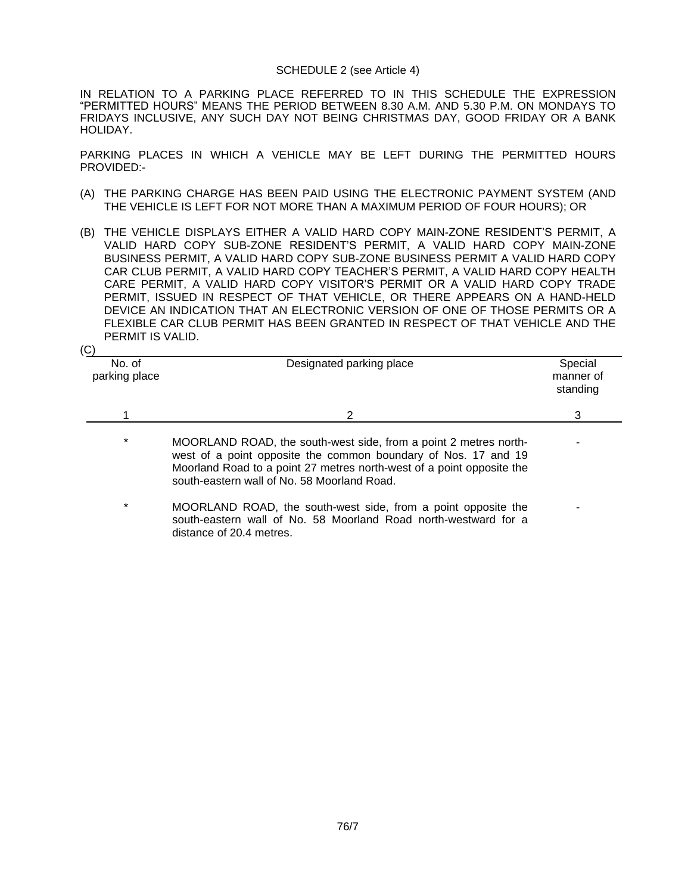### SCHEDULE 2 (see Article 4)

IN RELATION TO A PARKING PLACE REFERRED TO IN THIS SCHEDULE THE EXPRESSION "PERMITTED HOURS" MEANS THE PERIOD BETWEEN 8.30 A.M. AND 5.30 P.M. ON MONDAYS TO FRIDAYS INCLUSIVE, ANY SUCH DAY NOT BEING CHRISTMAS DAY, GOOD FRIDAY OR A BANK HOLIDAY.

PARKING PLACES IN WHICH A VEHICLE MAY BE LEFT DURING THE PERMITTED HOURS PROVIDED:-

- (A) THE PARKING CHARGE HAS BEEN PAID USING THE ELECTRONIC PAYMENT SYSTEM (AND THE VEHICLE IS LEFT FOR NOT MORE THAN A MAXIMUM PERIOD OF FOUR HOURS); OR
- (B) THE VEHICLE DISPLAYS EITHER A VALID HARD COPY MAIN-ZONE RESIDENT'S PERMIT, A VALID HARD COPY SUB-ZONE RESIDENT'S PERMIT, A VALID HARD COPY MAIN-ZONE BUSINESS PERMIT, A VALID HARD COPY SUB-ZONE BUSINESS PERMIT A VALID HARD COPY CAR CLUB PERMIT, A VALID HARD COPY TEACHER'S PERMIT, A VALID HARD COPY HEALTH CARE PERMIT, A VALID HARD COPY VISITOR'S PERMIT OR A VALID HARD COPY TRADE PERMIT, ISSUED IN RESPECT OF THAT VEHICLE, OR THERE APPEARS ON A HAND-HELD DEVICE AN INDICATION THAT AN ELECTRONIC VERSION OF ONE OF THOSE PERMITS OR A FLEXIBLE CAR CLUB PERMIT HAS BEEN GRANTED IN RESPECT OF THAT VEHICLE AND THE PERMIT IS VALID.  $(C)$

| ັບ<br>No. of<br>parking place | Designated parking place                                                                                                                                                                                                                                   | Special<br>manner of<br>standing |
|-------------------------------|------------------------------------------------------------------------------------------------------------------------------------------------------------------------------------------------------------------------------------------------------------|----------------------------------|
|                               | 2                                                                                                                                                                                                                                                          | 3                                |
| $\star$                       | MOORLAND ROAD, the south-west side, from a point 2 metres north-<br>west of a point opposite the common boundary of Nos. 17 and 19<br>Moorland Road to a point 27 metres north-west of a point opposite the<br>south-eastern wall of No. 58 Moorland Road. |                                  |
| $\star$                       | MOORLAND ROAD, the south-west side, from a point opposite the<br>south-eastern wall of No. 58 Moorland Road north-westward for a                                                                                                                           |                                  |

distance of 20.4 metres.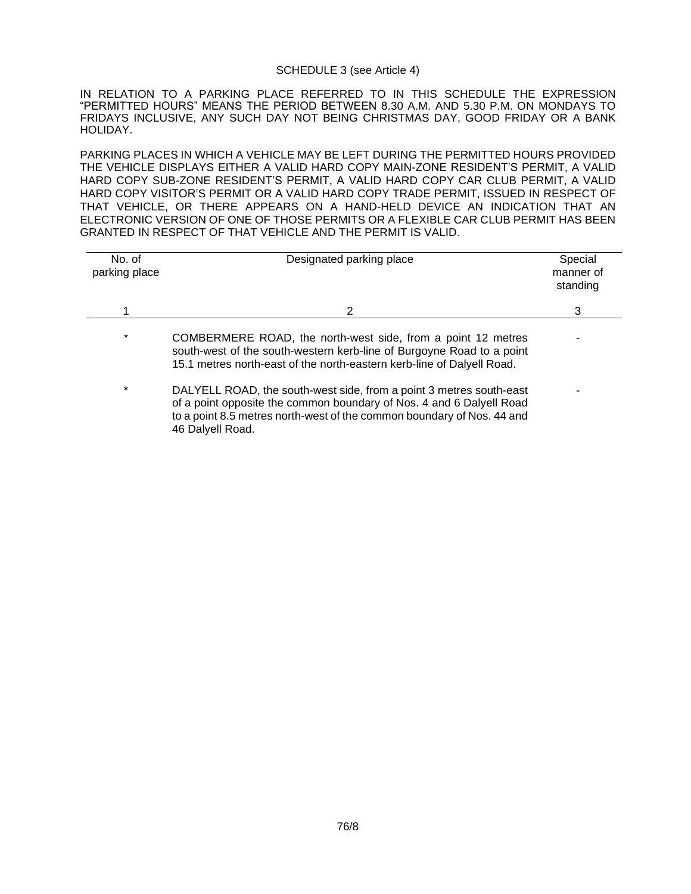### SCHEDULE 3 (see Article 4)

IN RELATION TO A PARKING PLACE REFERRED TO IN THIS SCHEDULE THE EXPRESSION "PERMITTED HOURS" MEANS THE PERIOD BETWEEN 8.30 A.M. AND 5.30 P.M. ON MONDAYS TO FRIDAYS INCLUSIVE, ANY SUCH DAY NOT BEING CHRISTMAS DAY, GOOD FRIDAY OR A BANK HOLIDAY.

PARKING PLACES IN WHICH A VEHICLE MAY BE LEFT DURING THE PERMITTED HOURS PROVIDED THE VEHICLE DISPLAYS EITHER A VALID HARD COPY MAIN-ZONE RESIDENT'S PERMIT, A VALID HARD COPY SUB-ZONE RESIDENT'S PERMIT, A VALID HARD COPY CAR CLUB PERMIT, A VALID HARD COPY VISITOR'S PERMIT OR A VALID HARD COPY TRADE PERMIT, ISSUED IN RESPECT OF THAT VEHICLE, OR THERE APPEARS ON A HAND-HELD DEVICE AN INDICATION THAT AN ELECTRONIC VERSION OF ONE OF THOSE PERMITS OR A FLEXIBLE CAR CLUB PERMIT HAS BEEN GRANTED IN RESPECT OF THAT VEHICLE AND THE PERMIT IS VALID.

| No. of<br>parking place | Designated parking place                                                                                                                                                                                                                  | Special<br>manner of<br>standing |
|-------------------------|-------------------------------------------------------------------------------------------------------------------------------------------------------------------------------------------------------------------------------------------|----------------------------------|
|                         | 2                                                                                                                                                                                                                                         | 3                                |
| $\ast$                  | COMBERMERE ROAD, the north-west side, from a point 12 metres<br>south-west of the south-western kerb-line of Burgoyne Road to a point<br>15.1 metres north-east of the north-eastern kerb-line of Dalyell Road.                           |                                  |
| $\ast$                  | DALYELL ROAD, the south-west side, from a point 3 metres south-east<br>of a point opposite the common boundary of Nos. 4 and 6 Dalyell Road<br>to a point 8.5 metres north-west of the common boundary of Nos. 44 and<br>46 Dalyell Road. |                                  |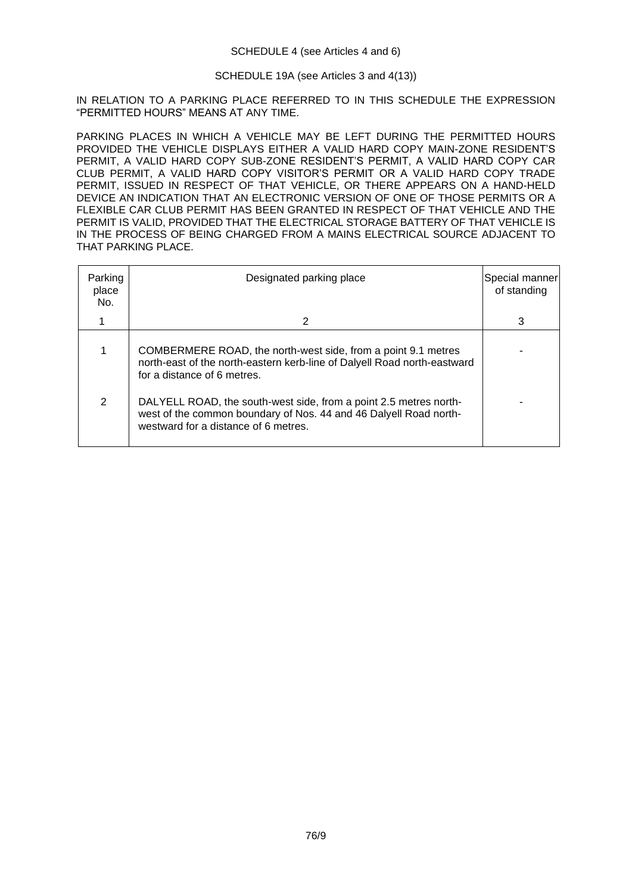### SCHEDULE 4 (see Articles 4 and 6)

## SCHEDULE 19A (see Articles 3 and 4(13))

IN RELATION TO A PARKING PLACE REFERRED TO IN THIS SCHEDULE THE EXPRESSION "PERMITTED HOURS" MEANS AT ANY TIME.

PARKING PLACES IN WHICH A VEHICLE MAY BE LEFT DURING THE PERMITTED HOURS PROVIDED THE VEHICLE DISPLAYS EITHER A VALID HARD COPY MAIN-ZONE RESIDENT'S PERMIT, A VALID HARD COPY SUB-ZONE RESIDENT'S PERMIT, A VALID HARD COPY CAR CLUB PERMIT, A VALID HARD COPY VISITOR'S PERMIT OR A VALID HARD COPY TRADE PERMIT, ISSUED IN RESPECT OF THAT VEHICLE, OR THERE APPEARS ON A HAND-HELD DEVICE AN INDICATION THAT AN ELECTRONIC VERSION OF ONE OF THOSE PERMITS OR A FLEXIBLE CAR CLUB PERMIT HAS BEEN GRANTED IN RESPECT OF THAT VEHICLE AND THE PERMIT IS VALID, PROVIDED THAT THE ELECTRICAL STORAGE BATTERY OF THAT VEHICLE IS IN THE PROCESS OF BEING CHARGED FROM A MAINS ELECTRICAL SOURCE ADJACENT TO THAT PARKING PLACE.

| Parking<br>place<br>No. | Designated parking place                                                                                                                                                       | Special manner<br>of standing |
|-------------------------|--------------------------------------------------------------------------------------------------------------------------------------------------------------------------------|-------------------------------|
|                         | 2                                                                                                                                                                              | 3                             |
|                         | COMBERMERE ROAD, the north-west side, from a point 9.1 metres<br>north-east of the north-eastern kerb-line of Dalyell Road north-eastward<br>for a distance of 6 metres.       |                               |
| 2                       | DALYELL ROAD, the south-west side, from a point 2.5 metres north-<br>west of the common boundary of Nos. 44 and 46 Dalyell Road north-<br>westward for a distance of 6 metres. |                               |